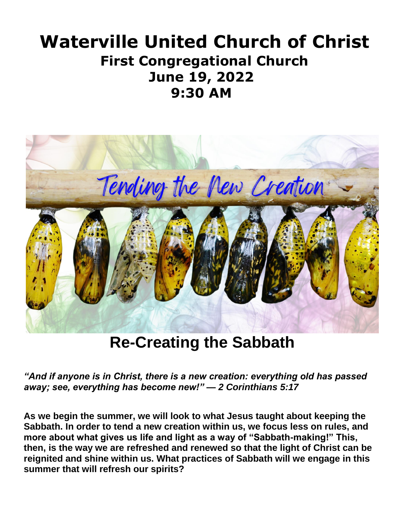# **Waterville United Church of Christ First Congregational Church June 19, 2022 9:30 AM**



**Re-Creating the Sabbath**

*"And if anyone is in Christ, there is a new creation: everything old has passed away; see, everything has become new!" — 2 Corinthians 5:17*

**As we begin the summer, we will look to what Jesus taught about keeping the Sabbath. In order to tend a new creation within us, we focus less on rules, and more about what gives us life and light as a way of "Sabbath-making!" This, then, is the way we are refreshed and renewed so that the light of Christ can be reignited and shine within us. What practices of Sabbath will we engage in this summer that will refresh our spirits?**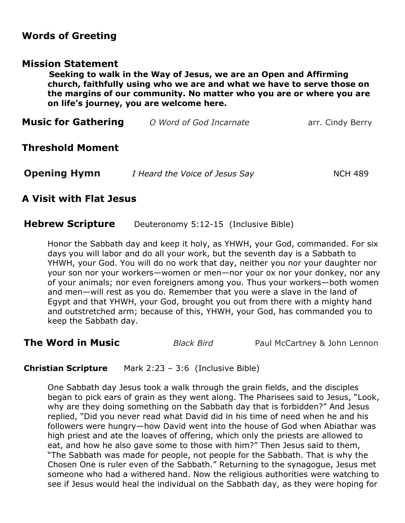## **Words of Greeting**

## **Mission Statement**

**Seeking to walk in the Way of Jesus, we are an Open and Affirming church, faithfully using who we are and what we have to serve those on the margins of our community. No matter who you are or where you are on life's journey, you are welcome here.**

| <b>Music for Gathering</b> | O Word of God Incarnate | arr. Cindy Berry |
|----------------------------|-------------------------|------------------|
| <b>Threshold Moment</b>    |                         |                  |

| <b>Opening Hymn</b> | I Heard the Voice of Jesus Say | NCH 489 |
|---------------------|--------------------------------|---------|
|---------------------|--------------------------------|---------|

## **A Visit with Flat Jesus**

### **Hebrew Scripture** Deuteronomy 5:12-15 (Inclusive Bible)

Honor the Sabbath day and keep it holy, as YHWH, your God, commanded. For six days you will labor and do all your work, but the seventh day is a Sabbath to YHWH, your God. You will do no work that day, neither you nor your daughter nor your son nor your workers—women or men—nor your ox nor your donkey, nor any of your animals; nor even foreigners among you. Thus your workers—both women and men—will rest as you do. Remember that you were a slave in the land of Egypt and that YHWH, your God, brought you out from there with a mighty hand and outstretched arm; because of this, YHWH, your God, has commanded you to keep the Sabbath day.

**The Word in Music** *Black Bird* Paul McCartney & John Lennon

**Christian Scripture** Mark 2:23 – 3:6 (Inclusive Bible)

One Sabbath day Jesus took a walk through the grain fields, and the disciples began to pick ears of grain as they went along. The Pharisees said to Jesus, "Look, why are they doing something on the Sabbath day that is forbidden?" And Jesus replied, "Did you never read what David did in his time of need when he and his followers were hungry—how David went into the house of God when Abiathar was high priest and ate the loaves of offering, which only the priests are allowed to eat, and how he also gave some to those with him?" Then Jesus said to them, "The Sabbath was made for people, not people for the Sabbath. That is why the Chosen One is ruler even of the Sabbath." Returning to the synagogue, Jesus met someone who had a withered hand. Now the religious authorities were watching to see if Jesus would heal the individual on the Sabbath day, as they were hoping for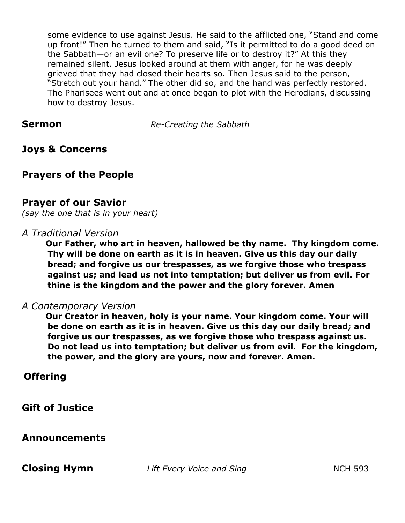some evidence to use against Jesus. He said to the afflicted one, "Stand and come up front!" Then he turned to them and said, "Is it permitted to do a good deed on the Sabbath—or an evil one? To preserve life or to destroy it?" At this they remained silent. Jesus looked around at them with anger, for he was deeply grieved that they had closed their hearts so. Then Jesus said to the person, "Stretch out your hand." The other did so, and the hand was perfectly restored. The Pharisees went out and at once began to plot with the Herodians, discussing how to destroy Jesus.

**Sermon** *Re-Creating the Sabbath*

## **Joys & Concerns**

## **Prayers of the People**

## **Prayer of our Savior**

*(say the one that is in your heart)* 

### *A Traditional Version*

**Our Father, who art in heaven, hallowed be thy name. Thy kingdom come. Thy will be done on earth as it is in heaven. Give us this day our daily bread; and forgive us our trespasses, as we forgive those who trespass against us; and lead us not into temptation; but deliver us from evil. For thine is the kingdom and the power and the glory forever. Amen** 

## *A Contemporary Version*

**Our Creator in heaven, holy is your name. Your kingdom come. Your will be done on earth as it is in heaven. Give us this day our daily bread; and forgive us our trespasses, as we forgive those who trespass against us. Do not lead us into temptation; but deliver us from evil. For the kingdom, the power, and the glory are yours, now and forever. Amen.**

## **Offering**

**Gift of Justice**

## **Announcements**

**Closing Hymn** *Lift Every Voice and Sing* **NCH 593**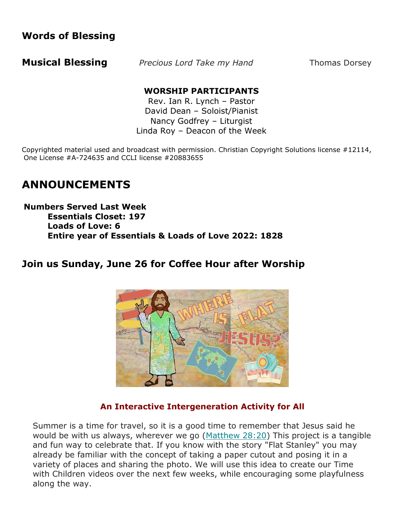## **Words of Blessing**

**Musical Blessing** *Precious Lord Take my Hand* **Thomas Dorsey** 

## **WORSHIP PARTICIPANTS**

Rev. Ian R. Lynch – Pastor David Dean – Soloist/Pianist Nancy Godfrey – Liturgist Linda Roy – Deacon of the Week

Copyrighted material used and broadcast with permission. Christian Copyright Solutions license #12114, One License #A-724635 and CCLI license #20883655

## **ANNOUNCEMENTS**

**Numbers Served Last Week Essentials Closet: 197 Loads of Love: 6 Entire year of Essentials & Loads of Love 2022: 1828**

## **Join us Sunday, June 26 for Coffee Hour after Worship**



## **An Interactive Intergeneration Activity for All**

Summer is a time for travel, so it is a good time to remember that Jesus said he would be with us always, wherever we go  $(Mat$ thew  $28:20$ ) This project is a tangible and fun way to celebrate that. If you know with the story "Flat Stanley" you may already be familiar with the concept of taking a paper cutout and posing it in a variety of places and sharing the photo. We will use this idea to create our Time with Children videos over the next few weeks, while encouraging some playfulness along the way.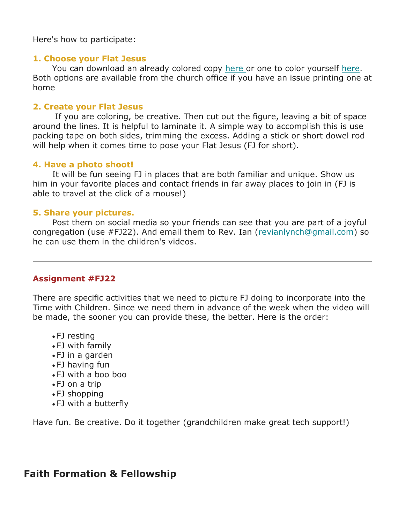Here's how to participate:

#### **1. Choose your Flat Jesus**

You can download an already colored copy [here](https://watervilleucc.us5.list-manage.com/track/click?u=d621eb1bc486f79d9694c7f5e&id=ed879f4ac1&e=22d863d258) or one to color yourself [here.](https://watervilleucc.us5.list-manage.com/track/click?u=d621eb1bc486f79d9694c7f5e&id=4975d471b0&e=22d863d258) Both options are available from the church office if you have an issue printing one at home

#### **2. Create your Flat Jesus**

 If you are coloring, be creative. Then cut out the figure, leaving a bit of space around the lines. It is helpful to laminate it. A simple way to accomplish this is use packing tape on both sides, trimming the excess. Adding a stick or short dowel rod will help when it comes time to pose your Flat Jesus (FJ for short).

#### **4. Have a photo shoot!**

 It will be fun seeing FJ in places that are both familiar and unique. Show us him in your favorite places and contact friends in far away places to join in (FJ is able to travel at the click of a mouse!)

#### **5. Share your pictures.**

 Post them on social media so your friends can see that you are part of a joyful congregation (use #FJ22). And email them to Rev. Ian [\(revianlynch@gmail.com\)](mailto:revianlynch@gmail.com?subject=Flat%20Jesus) so he can use them in the children's videos.

#### **Assignment #FJ22**

There are specific activities that we need to picture FJ doing to incorporate into the Time with Children. Since we need them in advance of the week when the video will be made, the sooner you can provide these, the better. Here is the order:

- FJ resting
- FJ with family
- FJ in a garden
- FJ having fun
- FJ with a boo boo
- FJ on a trip
- FJ shopping
- FJ with a butterfly

Have fun. Be creative. Do it together (grandchildren make great tech support!)

## **Faith Formation & Fellowship**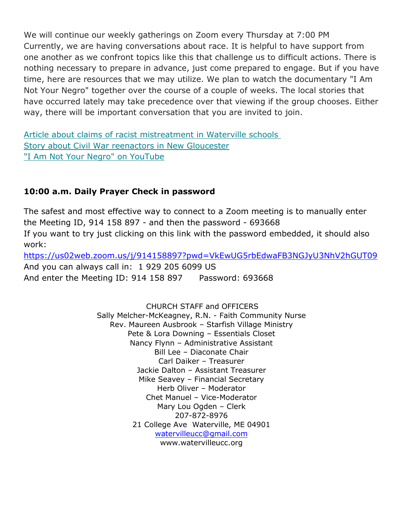We will continue our weekly gatherings on Zoom every Thursday at 7:00 PM Currently, we are having conversations about race. It is helpful to have support from one another as we confront topics like this that challenge us to difficult actions. There is nothing necessary to prepare in advance, just come prepared to engage. But if you have time, here are resources that we may utilize. We plan to watch the documentary "I Am Not Your Negro" together over the course of a couple of weeks. The local stories that have occurred lately may take precedence over that viewing if the group chooses. Either way, there will be important conversation that you are invited to join.

[Article about claims of racist mistreatment in Waterville schools](https://watervilleucc.us5.list-manage.com/track/click?u=d621eb1bc486f79d9694c7f5e&id=0dbccea771&e=22d863d258) [Story about Civil War reenactors in New Gloucester](https://watervilleucc.us5.list-manage.com/track/click?u=d621eb1bc486f79d9694c7f5e&id=23db1f43e7&e=22d863d258) ["I Am Not Your Negro" on YouTube](https://watervilleucc.us5.list-manage.com/track/click?u=d621eb1bc486f79d9694c7f5e&id=45d3e073cb&e=22d863d258)

## **10:00 a.m. Daily Prayer Check in password**

The safest and most effective way to connect to a Zoom meeting is to manually enter the Meeting ID, 914 158 897 - and then the password - 693668 If you want to try just clicking on this link with the password embedded, it should also work:

<https://us02web.zoom.us/j/914158897?pwd=VkEwUG5rbEdwaFB3NGJyU3NhV2hGUT09> And you can always call in: 1 929 205 6099 US And enter the Meeting ID: 914 158 897 Password: 693668

> CHURCH STAFF and OFFICERS Sally Melcher-McKeagney, R.N. - Faith Community Nurse Rev. Maureen Ausbrook – Starfish Village Ministry Pete & Lora Downing – Essentials Closet Nancy Flynn – Administrative Assistant Bill Lee – Diaconate Chair Carl Daiker – Treasurer Jackie Dalton – Assistant Treasurer Mike Seavey – Financial Secretary Herb Oliver – Moderator Chet Manuel – Vice-Moderator Mary Lou Ogden – Clerk 207-872-8976 21 College Ave Waterville, ME 04901 [watervilleucc@gmail.com](mailto:watervilleucc@gmail.com)  www.watervilleucc.org